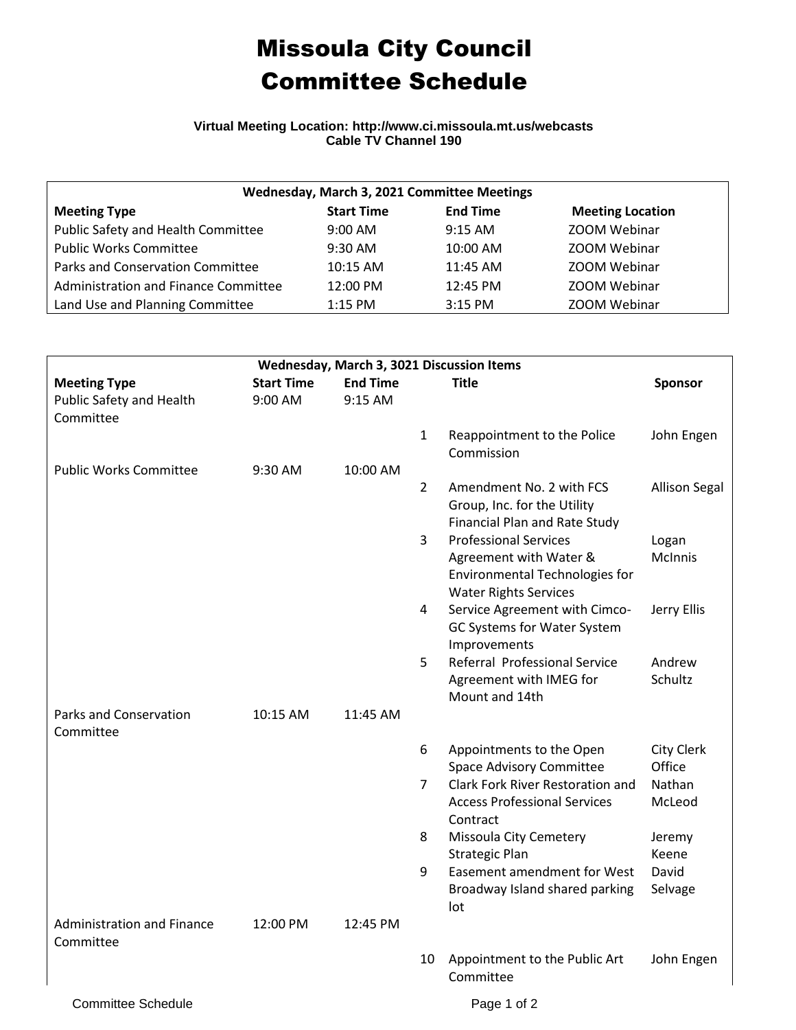## Missoula City Council Committee Schedule

## **Virtual Meeting Location: http://www.ci.missoula.mt.us/webcasts Cable TV Channel 190**

| Wednesday, March 3, 2021 Committee Meetings |                   |                 |                         |  |  |  |  |
|---------------------------------------------|-------------------|-----------------|-------------------------|--|--|--|--|
| <b>Meeting Type</b>                         | <b>Start Time</b> | <b>End Time</b> | <b>Meeting Location</b> |  |  |  |  |
| Public Safety and Health Committee          | $9:00$ AM         | $9:15$ AM       | ZOOM Webinar            |  |  |  |  |
| <b>Public Works Committee</b>               | $9:30$ AM         | 10:00 AM        | ZOOM Webinar            |  |  |  |  |
| Parks and Conservation Committee            | 10:15 AM          | 11:45 AM        | ZOOM Webinar            |  |  |  |  |
| Administration and Finance Committee        | 12:00 PM          | $12:45$ PM      | ZOOM Webinar            |  |  |  |  |
| Land Use and Planning Committee             | $1:15$ PM         | 3:15 PM         | ZOOM Webinar            |  |  |  |  |

| Wednesday, March 3, 3021 Discussion Items      |                   |                 |                |                                                                                                              |                         |  |  |  |
|------------------------------------------------|-------------------|-----------------|----------------|--------------------------------------------------------------------------------------------------------------|-------------------------|--|--|--|
| <b>Meeting Type</b>                            | <b>Start Time</b> | <b>End Time</b> |                | <b>Title</b>                                                                                                 | Sponsor                 |  |  |  |
| Public Safety and Health                       | $9:00$ AM         | 9:15 AM         |                |                                                                                                              |                         |  |  |  |
| Committee                                      |                   |                 |                |                                                                                                              |                         |  |  |  |
| <b>Public Works Committee</b>                  |                   |                 | 1              | Reappointment to the Police<br>Commission                                                                    | John Engen              |  |  |  |
|                                                | 9:30 AM           | 10:00 AM        | $\overline{2}$ | Amendment No. 2 with FCS<br>Group, Inc. for the Utility<br><b>Financial Plan and Rate Study</b>              | <b>Allison Segal</b>    |  |  |  |
|                                                |                   |                 | $\mathbf{3}$   | <b>Professional Services</b><br>Agreement with Water &<br><b>Environmental Technologies for</b>              | Logan<br><b>McInnis</b> |  |  |  |
|                                                |                   |                 | 4              | <b>Water Rights Services</b><br>Service Agreement with Cimco-<br>GC Systems for Water System<br>Improvements | Jerry Ellis             |  |  |  |
|                                                |                   |                 | 5              | Referral Professional Service<br>Agreement with IMEG for<br>Mount and 14th                                   | Andrew<br>Schultz       |  |  |  |
| <b>Parks and Conservation</b><br>Committee     | 10:15 AM          | 11:45 AM        |                |                                                                                                              |                         |  |  |  |
|                                                |                   |                 | 6              | Appointments to the Open<br><b>Space Advisory Committee</b>                                                  | City Clerk<br>Office    |  |  |  |
|                                                |                   |                 | 7              | Clark Fork River Restoration and<br><b>Access Professional Services</b><br>Contract                          | Nathan<br>McLeod        |  |  |  |
|                                                |                   |                 | 8              | Missoula City Cemetery<br><b>Strategic Plan</b>                                                              | Jeremy<br>Keene         |  |  |  |
|                                                |                   |                 | 9              | Easement amendment for West<br>Broadway Island shared parking<br>lot                                         | David<br>Selvage        |  |  |  |
| <b>Administration and Finance</b><br>Committee | 12:00 PM          | 12:45 PM        |                |                                                                                                              |                         |  |  |  |
|                                                |                   |                 | 10             | Appointment to the Public Art<br>Committee                                                                   | John Engen              |  |  |  |
| <b>Committee Schedule</b>                      |                   |                 |                | Page 1 of 2                                                                                                  |                         |  |  |  |